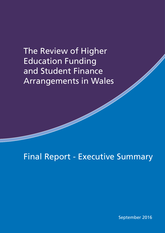The Review of Higher Education Funding and Student Finance Arrangements in Wales

Final Report - Executive Summary

September 2016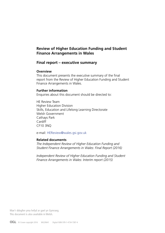# **Review of Higher Education Funding and Student Finance Arrangements in Wales**

#### **Final report – executive summary**

#### **Overview**

This document presents the executive summary of the final report from the Review of Higher Education Funding and Student Finance Arrangements in Wales.

#### **Further information**

Enquiries about this document should be directed to:

HE Review Team Higher Education Division Skills, Education and Lifelong Learning Directorate Welsh Government Cathays Park Cardiff CF10 3NQ

e-mail: [HEReview@wales.gsi.gov.uk](mailto:HEReview%40wales.gsi.gov.uk?subject=)

#### **Related documents**

*The Independent Review of Higher Education Funding and Student Finance Arrangements in Wales: Final Report (2016)*

*Independent Review of Higher Education Funding and Student Finance Arrangements in Wales: Interim report (2015)*

Mae'r ddogfen yma hefyd ar gael yn Gymraeg. This document is also available in Welsh.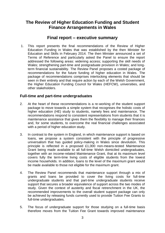# **The Review of Higher Education Funding and Student Finance Arrangements in Wales**

# **Final report – executive summary**

1. This report presents the final recommendations of the Review of Higher Education Funding in Wales that was established by the then Minister for Education and Skills in February 2014. The then Minister announced a set of Terms of Reference and particularly asked the Panel to ensure the report addressed the following areas: widening access; supporting the skill needs of Wales; strengthening part-time and postgraduate provision in Wales; and longterm financial sustainability. The Review Panel proposes a costed package of recommendations for the future funding of higher education in Wales. The package of recommendations comprises interlocking elements that should be seen in their entirety and that require action by each of the Welsh Government, the Higher Education Funding Council for Wales (HEFCW), universities, and other stakeholders.

## **Full-time and part-time undergraduates**

- 2. At the heart of these recommendations is a re-working of the student support package to move towards a simple system that recognises the holistic costs of higher education (HE) study to students, namely fees and maintenance. The recommendations respond to consistent representations from students that it is maintenance assistance that gives them the flexibility to manage their finances and, for some students, to overcome the real financial challenges associated with a period of higher education study.
- 3. In contrast to the system in England, in which maintenance support is based on loans, we propose a system consistent with the principle of progressive universalism that has guided policy-making in Wales since devolution. This principle is reflected in a proposed £1,000 non-means-tested Maintenance Grant being made available to all full-time Welsh domiciled undergraduates, together with an income-related Maintenance Grant, that at its maximum level covers fully the term-time living costs of eligible students from the lowest income households. In addition, loans to the level of the maximum grant would be made available to those not eligible for the maximum grant.
- 4. The Review Panel recommends that maintenance support through a mix of grants and loans be provided to cover the living costs for full-time undergraduate students and that part-time undergraduate students receive support that secures a broader equivalence of support across the two modes of study. Given the context of austerity and fiscal retrenchment in the UK, the recommended improvements to the overall student support package can only be achieved by releasing funds currently used to provide Tuition Fee Grants to full-time undergraduates.
- 5. The focus of undergraduate support for those studying on a full-time basis therefore moves from the Tuition Fee Grant towards improved maintenance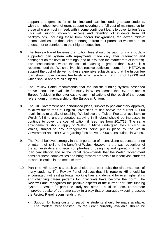support arrangements for all full-time and part-time undergraduate students, with the highest level of grant support covering the full cost of maintenance for those who are most in need, with income contingent loans to cover tuition fees. This will support widening access and retention of students from all backgrounds, including those from poorer backgrounds, 'squeezed middle' income families and those either estranged from their parents or whose parents choose not to contribute to their higher education.

- 6. The Review Panel believes that tuition fees should be paid for via a publicly supported loan system with repayments made only after graduation and contingent on the level of earnings (and at less than the market rate of interest). For those subjects where the cost of teaching is greater than £9,000, it is recommended that Welsh universities receive sufficient income from HEFCW to support the cost of delivering these expensive subjects and that the tuition fee loan should cover current fee levels which are to a maximum of £9,000 and which should apply to all subjects.
- 7. The Review Panel recommends that the holistic funding system described above should be available for study in Wales, across the UK, and across Europe (subject in the latter case to any implications of the result of the recent referendum on membership of the European Union).
- 8. The UK Government has announced plans, subject to parliamentary approval, to allow tuition fees at English universities to rise above the current £9,000 level, linked to quality of teaching. We believe that Tuition Fee Loan available to Welsh full-time undergraduates studying in England should be increased to continue to cover the cost of tuition, if fees rise from 2017/18. The same arrangements should apply to Welsh full-time undergraduates studying in Wales, subject to any arrangements being put in place by the Welsh Government and HEFCW regarding fees above £9,000 at institutions in Wales.
- 9. The Panel believes strongly in the importance of incentivising students to bring or retain their skills to the benefit of Wales. However, there was recognition of the administrative and legal complexities of designing and operating a partial loan cancellation and so the Panel recommends that the Welsh Government consider these complexities and bring forward proposals to incentivise students to work in Wales in the medium term.
- 10. Part-time HE study is a positive choice that best suits the circumstances of many students. The Review Panel believes that this route to HE should be encouraged, not least as longer working lives and demand for ever higher skills and changing career patterns for individuals have become the norm. The Review Panel recognises the positive aspects of the current part-time funding system in Wales for part-time study and aims to build on them. To promote improved uptake of part-time study in a way that encourages widening access the Review Panel recommends that:
	- Support for living costs for part-time students should be made available. The modest means-tested Course Grant currently available should be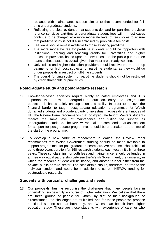replaced with maintenance support similar to that recommended for fulltime undergraduate students.

- Reflecting the clear evidence that students demand for part-time provision is price sensitive part-time undergraduate student fees will in most cases continue to be charged at a more moderate level of fees so as to ensure that part-time study is not dis-incentivised by prohibitive fee costs.
- Fee loans should remain available to those studying part-time.
- The more moderate fee for part-time students should be topped-up with institutional learning and teaching grants for universities and higher education providers, based upon the lower costs to the public purse of fee loans to these students overall given that most are already working.
- Universities and higher education providers should receive pro-rata top-up payments for high cost subjects for part-time students, as they would do under proposals in respect of full-time students.
- The overall funding system for part-time students should not be restricted by credit thresholds or prior study.

## **Postgraduate study and postgraduate research**

- 11. Knowledge-based societies require highly educated employees and it is important that, as with undergraduate education, entry into postgraduate education is based solely on aspiration and ability. In order to remove the financial barrier to taught postgraduate education programmes for Welsh domiciled students and provide a parity of investment across different modes of HE, the Review Panel recommends that postgraduate taught Masters students receive the same level of maintenance and tuition fee support as undergraduate students. The Review Panel also recommends that assessment for support for postgraduate programmes should be undertaken at the time of the start of the programme.
- 12. To develop a new cadre of researchers in Wales, the Review Panel recommends that Welsh Government funding should be made available to support programmes for postgraduate researchers. We propose scholarships of up to three years duration for 150 research students each year, initially for three years. These scholarships, for both fees and maintenance, should be funded in a three way equal partnership between the Welsh Government, the university in which the research student will be based, and another funder either from the private, public or third sector. The scholarship should, therefore, be free to the individual student and would be in addition to current HEFCW funding for postgraduate research.

#### **Students with particular challenges and needs**

13. Our proposals thus far recognise the challenges that many people face in undertaking successfully a course of higher education. We believe that there are three groups of people for whom, by dint of their background or circumstance, the challenges are multiplied, and for these people we propose additional support so that both they, and Wales, can benefit from higher education study. These are those students with experience of care, or who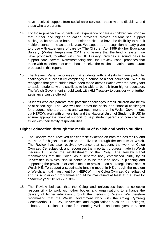have received support from social care services; those with a disability; and those who are parents.

- 14. For those prospective students with experience of care as children we propose that further and higher education providers provide personalised support packages, be prepared both to transfer credits and have the flexibility to permit multiple starts in the academic year. We support the recognition already given to those with experience of care by 'The Children Act 1989 (Higher Education Bursary) (Wales) Regulations 2011' and believe that the funding system we have proposed, together with this HE Bursary, provides a sound basis to support care leavers. Notwithstanding this, the Review Panel proposes that those with experience of care should receive the maximum Maintenance Grant proposed in this report.
- 15. The Review Panel recognises that students with a disability have particular challenges in successfully completing a course of higher education. We also recognise that great strides have been made across Wales over the past years to assist students with disabilities to be able to benefit from higher education. The Welsh Government should work with HM Treasury to consider what further assistance can be offered.
- 16. Students who are parents face particular challenges if their children are below or at school age. The Review Panel notes the social and financial challenges for students who are parents and we recommend that the Welsh Government, via HEFCW, work with universities and the National Union of Students (NUS) to ensure appropriate financial support to help student parents to combine their study with their family responsibilities.

#### **Higher education through the medium of Welsh and Welsh studies**

- 17. The Review Panel received considerable evidence on both the desirability and the need for higher education to be delivered through the medium of Welsh. The Review has also received evidence that supports the work of Coleg Cymraeg Cenedlaethol, and recognises the important progress made in Welsh medium HE since the establishment of the Coleg. The Review Panel recommends that the Coleg, as a separate body established jointly by all universities in Wales, should continue to be the lead body in planning and supporting the provision of Welsh medium provision on a strategic basis across Welsh HE. To support a sustainable funding model in HE through the medium of Welsh, annual investment from HEFCW in the Coleg Cymraeg Cenedlaethol and its scholarship programme should be maintained at least at the level for academic year 2016/17 (£5.8m).
- 18. The Review believes that the Coleg and universities have a collective responsibility to work with other bodies and organisations to enhance the delivery of higher education through the medium of Welsh. We therefore recommend that the Welsh Government work with the Coleg Cymraeg Cenedlaethol, HEFCW, universities and organisations such as FE colleges, schools, the National Centre for Learning Welsh, and employers to secure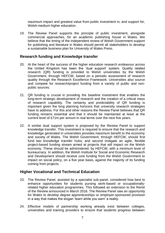maximum impact and greatest value from public investment in, and support for, Welsh-medium higher education.

19. The Review Panel supports the principle of public investment, alongside commercial approaches, for an academic publishing house in Wales. We believe that the timing of the independent review of Welsh Government support for publishing and literature in Wales should permit all stakeholders to develop a sustainable business plan for University of Wales Press.

## **Research funding and Knowledge transfer**

- 20. At the heart of the success of the higher education research endeavour across the United Kingdom has been the 'dual support' system. Quality related research (QR) funding is provided to Welsh universities by the Welsh Government, through HEFCW, based on a periodic assessment of research quality through the Research Excellence Framework. Universities also source and compete for research/project funding from a variety of public and nonpublic sources.
- 21. QR funding is crucial in providing the baseline investment that enables the long-term strategic development of research and the creation of a critical mass of research capability. The certainty and predictability of QR funding is important given the long planning horizons that university research strategies have to address. For this and other reasons the Review Panel believes that QR funding remains essential and that it should be maintained at least at the current level of £71m per annum in real terms over the next five years.
- 22. A similar dual support system is proposed by the Review Panel to support knowledge transfer. This investment is required to ensure that the research and knowledge generated in universities provides maximum benefit to the economy and society of Wales. The Welsh Government, through HEFCW, should first fund two knowledge transfer hubs; and second instigate an agile, flexible project-based funding stream aimed at projects that will impact on the Welsh economy. These should be administered, by HEFCW, with a minimum level of bureaucracy. In addition, the Welsh Institute for Social and Economic Research and Development should receive core funding from the Welsh Government to impact on social policy, on a five year basis, against the majority of its funding coming from projects.

## **Higher Vocational and Technical Education**

- 23. The Review Panel, assisted by a specialist sub-panel, considered how best to enhance opportunities for students pursing work-based or occupationallyrelated higher education programmes. This followed an extension to the Remit of the Review announced in March 2016. The Review Panel saw an opportunity for Wales to develop degree apprenticeships or employer-sponsored provision in a way that makes the slogan 'learn while you earn' a reality.
- 24. Effective models of partnership working already exist between colleges, universities and training providers to ensure that students progress between